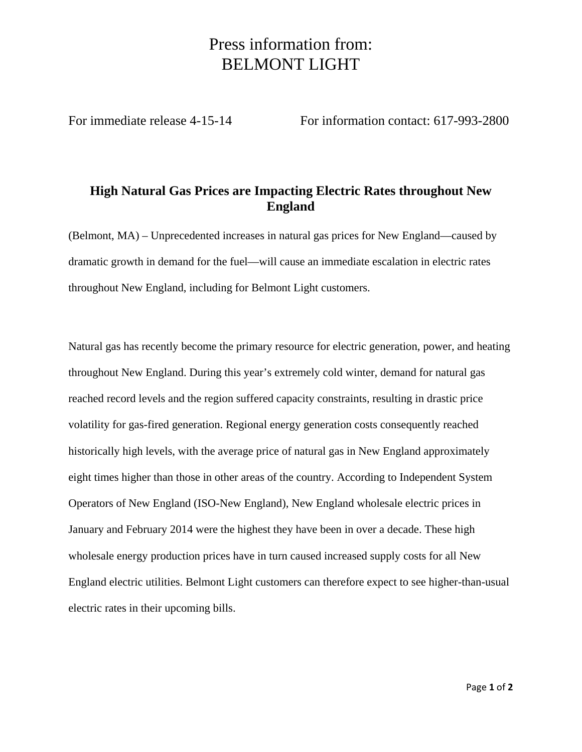## Press information from: BELMONT LIGHT

For immediate release 4-15-14 For information contact: 617-993-2800

## **High Natural Gas Prices are Impacting Electric Rates throughout New England**

(Belmont, MA) – Unprecedented increases in natural gas prices for New England—caused by dramatic growth in demand for the fuel—will cause an immediate escalation in electric rates throughout New England, including for Belmont Light customers.

Natural gas has recently become the primary resource for electric generation, power, and heating throughout New England. During this year's extremely cold winter, demand for natural gas reached record levels and the region suffered capacity constraints, resulting in drastic price volatility for gas-fired generation. Regional energy generation costs consequently reached historically high levels, with the average price of natural gas in New England approximately eight times higher than those in other areas of the country. According to Independent System Operators of New England (ISO-New England), New England wholesale electric prices in January and February 2014 were the highest they have been in over a decade. These high wholesale energy production prices have in turn caused increased supply costs for all New England electric utilities. Belmont Light customers can therefore expect to see higher-than-usual electric rates in their upcoming bills.